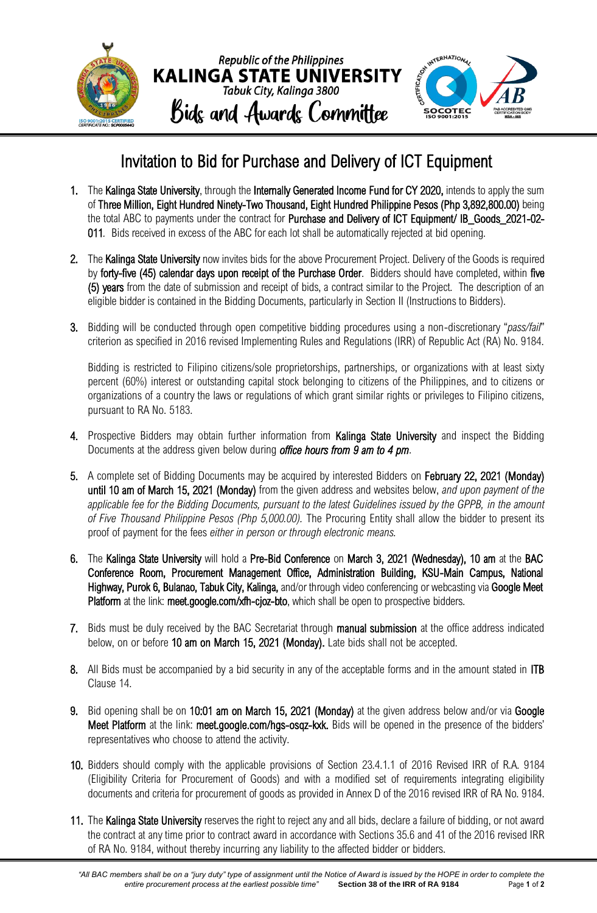

## Invitation to Bid for Purchase and Delivery of ICT Equipment

- 1. The Kalinga State University, through the Internally Generated Income Fund for CY 2020, intends to apply the sum of Three Million, Eight Hundred Ninety-Two Thousand, Eight Hundred Philippine Pesos (Php 3,892,800.00) being the total ABC to payments under the contract for Purchase and Delivery of ICT Equipment/ IB\_Goods\_2021-02-011*.* Bids received in excess of the ABC for each lot shall be automatically rejected at bid opening.
- 2. The Kalinga State University now invites bids for the above Procurement Project. Delivery of the Goods is required by forty-five (45) calendar days upon receipt of the Purchase Order. Bidders should have completed, within five (5) years from the date of submission and receipt of bids, a contract similar to the Project. The description of an eligible bidder is contained in the Bidding Documents, particularly in Section II (Instructions to Bidders).
- 3. Bidding will be conducted through open competitive bidding procedures using a non-discretionary "*pass/fail*" criterion as specified in 2016 revised Implementing Rules and Regulations (IRR) of Republic Act (RA) No. 9184.

Bidding is restricted to Filipino citizens/sole proprietorships, partnerships, or organizations with at least sixty percent (60%) interest or outstanding capital stock belonging to citizens of the Philippines, and to citizens or organizations of a country the laws or regulations of which grant similar rights or privileges to Filipino citizens, pursuant to RA No. 5183.

- 4. Prospective Bidders may obtain further information from Kalinga State University and inspect the Bidding Documents at the address given below during *office hours from 9 am to 4 pm*.
- 5. A complete set of Bidding Documents may be acquired by interested Bidders on February 22, 2021 (Monday) until 10 am of March 15, 2021 (Monday) from the given address and websites below, *and upon payment of the applicable fee for the Bidding Documents, pursuant to the latest Guidelines issued by the GPPB, in the amount of Five Thousand Philippine Pesos (Php 5,000.00).* The Procuring Entity shall allow the bidder to present its proof of payment for the fees *either in person or through electronic means.*
- 6. The Kalinga State University will hold a Pre-Bid Conference on March 3, 2021 (Wednesday), 10 am at the BAC Conference Room, Procurement Management Office, Administration Building, KSU-Main Campus, National Highway, Purok 6, Bulanao, Tabuk City, Kalinga, and/or through video conferencing or webcasting via Google Meet Platform at the link: meet.google.com/xfh-cjoz-bto, which shall be open to prospective bidders.
- 7. Bids must be duly received by the BAC Secretariat through manual submission at the office address indicated below, on or before 10 am on March 15, 2021 (Monday). Late bids shall not be accepted.
- 8. All Bids must be accompanied by a bid security in any of the acceptable forms and in the amount stated in ITB Clause 14.
- 9. Bid opening shall be on 10:01 am on March 15, 2021 (Monday) at the given address below and/or via Google Meet Platform at the link: meet.google.com/hgs-osqz-kxk. Bids will be opened in the presence of the bidders' representatives who choose to attend the activity.
- 10. Bidders should comply with the applicable provisions of Section 23.4.1.1 of 2016 Revised IRR of R.A. 9184 (Eligibility Criteria for Procurement of Goods) and with a modified set of requirements integrating eligibility documents and criteria for procurement of goods as provided in Annex D of the 2016 revised IRR of RA No. 9184.
- 11. The Kalinga State University reserves the right to reject any and all bids, declare a failure of bidding, or not award the contract at any time prior to contract award in accordance with Sections 35.6 and 41 of the 2016 revised IRR of RA No. 9184, without thereby incurring any liability to the affected bidder or bidders.